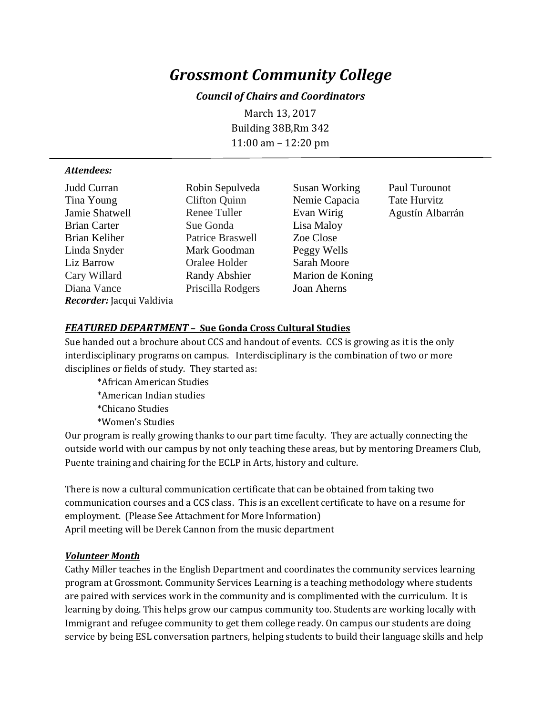# *Grossmont Community College*

## *Council of Chairs and Coordinators*

March 13, 2017 Building 38B,Rm 342 11:00 am – 12:20 pm

#### *Attendees:*

| Judd Curran               | Robin Sepul         |
|---------------------------|---------------------|
| Tina Young                | <b>Clifton Quin</b> |
| Jamie Shatwell            | Renee Tuller        |
| <b>Brian Carter</b>       | Sue Gonda           |
| Brian Keliher             | Patrice Brasy       |
| Linda Snyder              | Mark Goodn          |
| Liz Barrow                | Oralee Holde        |
| Cary Willard              | Randy Absh          |
| Diana Vance               | Priscilla Rod       |
| Recorder: Jacqui Valdivia |                     |
|                           |                     |

n Nemie Capacia Tate Hurvitz Evan Wirig Agustín Albarrán Lisa Maloy well Zoe Close nan Peggy Wells er Sarah Moore expressed abstracts Marion de Koning lgers Joan Aherns

veda Susan Working Paul Turounot

## *FEATURED DEPARTMENT* **– Sue Gonda Cross Cultural Studies**

Sue handed out a brochure about CCS and handout of events. CCS is growing as it is the only interdisciplinary programs on campus. Interdisciplinary is the combination of two or more disciplines or fields of study. They started as:

- \*African American Studies
- \*American Indian studies
- \*Chicano Studies
- \*Women's Studies

Our program is really growing thanks to our part time faculty. They are actually connecting the outside world with our campus by not only teaching these areas, but by mentoring Dreamers Club, Puente training and chairing for the ECLP in Arts, history and culture.

There is now a cultural communication certificate that can be obtained from taking two communication courses and a CCS class. This is an excellent certificate to have on a resume for employment. (Please See Attachment for More Information) April meeting will be Derek Cannon from the music department

#### *Volunteer Month*

Cathy Miller teaches in the English Department and coordinates the community services learning program at Grossmont. Community Services Learning is a teaching methodology where students are paired with services work in the community and is complimented with the curriculum. It is learning by doing. This helps grow our campus community too. Students are working locally with Immigrant and refugee community to get them college ready. On campus our students are doing service by being ESL conversation partners, helping students to build their language skills and help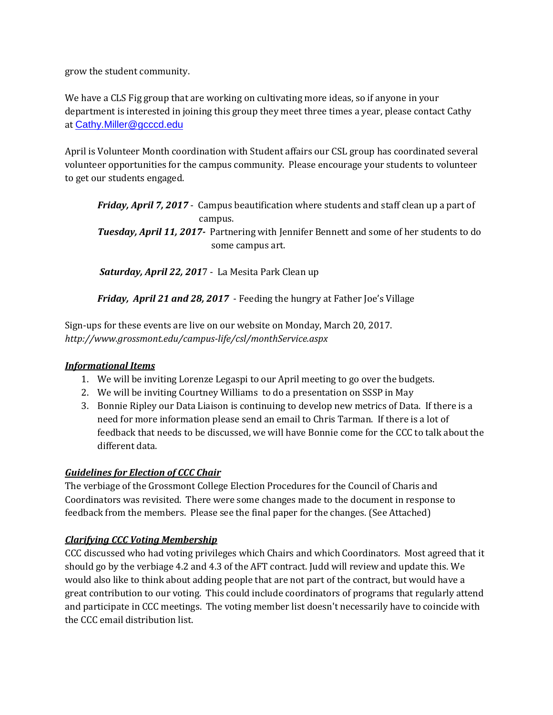grow the student community.

We have a CLS Fig group that are working on cultivating more ideas, so if anyone in your department is interested in joining this group they meet three times a year, please contact Cathy at [Cathy.Miller@gcccd.edu](mailto:Cathy.Miller@gcccd.edu)

April is Volunteer Month coordination with Student affairs our CSL group has coordinated several volunteer opportunities for the campus community. Please encourage your students to volunteer to get our students engaged.

*Friday, April 7, 2017* - Campus beautification where students and staff clean up a part of campus. *Tuesday, April 11, 2017-* Partnering with Jennifer Bennett and some of her students to do some campus art.

*Saturday, April 22, 201*7 - La Mesita Park Clean up

*Friday, April 21 and 28, 2017* - Feeding the hungry at Father Joe's Village

Sign-ups for these events are live on our website on Monday, March 20, 2017. *http://www.grossmont.edu/campus-life/csl/monthService.aspx*

# *Informational Items*

- 1. We will be inviting Lorenze Legaspi to our April meeting to go over the budgets.
- 2. We will be inviting Courtney Williams to do a presentation on SSSP in May
- 3. Bonnie Ripley our Data Liaison is continuing to develop new metrics of Data. If there is a need for more information please send an email to Chris Tarman. If there is a lot of feedback that needs to be discussed, we will have Bonnie come for the CCC to talk about the different data.

# *Guidelines for Election of CCC Chair*

The verbiage of the Grossmont College Election Procedures for the Council of Charis and Coordinators was revisited. There were some changes made to the document in response to feedback from the members. Please see the final paper for the changes. (See Attached)

# *Clarifying CCC Voting Membership*

CCC discussed who had voting privileges which Chairs and which Coordinators. Most agreed that it should go by the verbiage 4.2 and 4.3 of the AFT contract. Judd will review and update this. We would also like to think about adding people that are not part of the contract, but would have a great contribution to our voting. This could include coordinators of programs that regularly attend and participate in CCC meetings. The voting member list doesn't necessarily have to coincide with the CCC email distribution list.